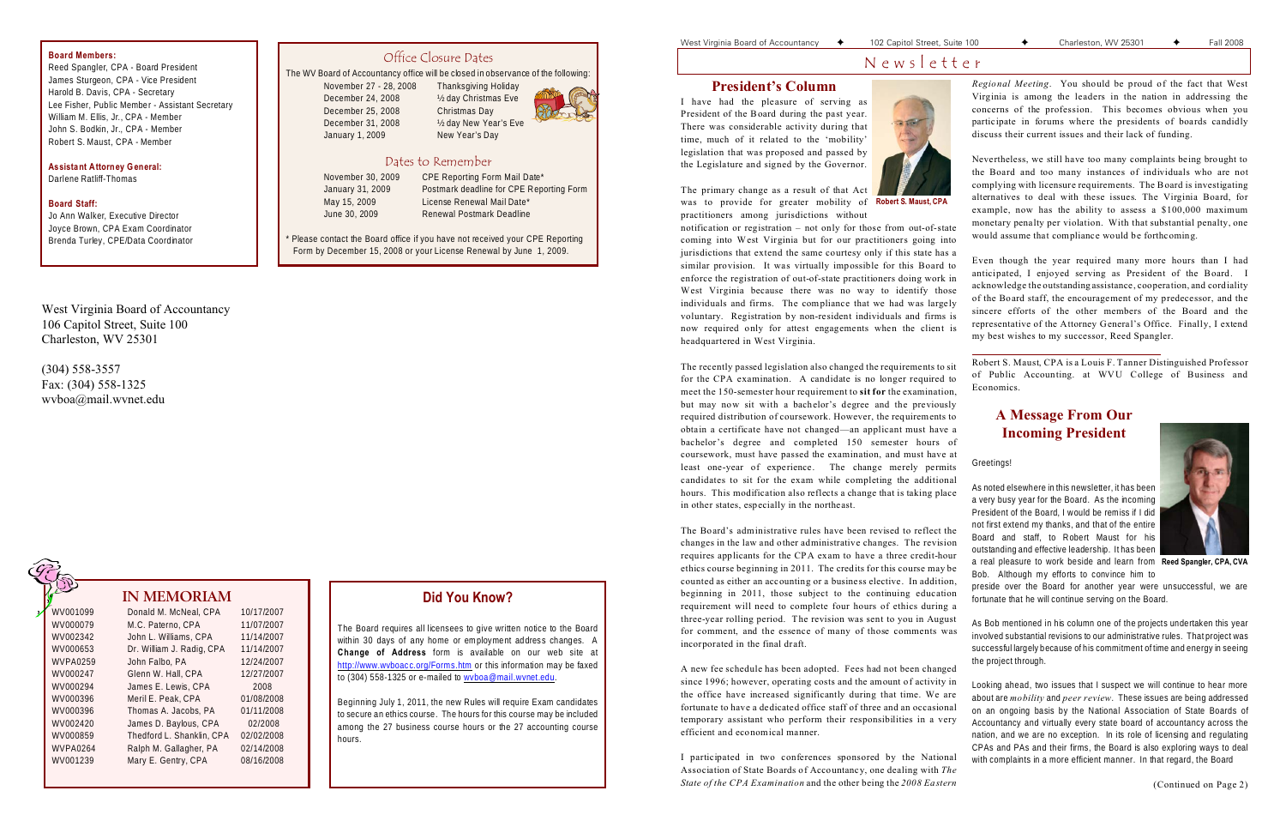West Virginia Board of Accountancy 106 Capitol Street, Suite 100 Charleston, WV 25301

(304) 558-3557 Fax: (304) 558-1325 wvboa@mail.wvnet.edu

# **Did You Know?**

The Board requires all licensees to give written notice to the Board within 30 days of any home or employment address changes. A **Change of Address** form is available on our web site at <http://www.wvboacc.org/Forms.htm> or this information may be faxed to (304) 558-1325 or e-mailed to [wvboa@mail.wvnet.edu](mailto:wvboa@mail.wvnet.edu).

Beginning July 1, 2011, the new Rules will require Exam candidates to secure an ethics course. The hours for this course may be included among the 27 business course hours or the 27 accounting course hours.

#### West Virginia Board of Accountancy  $\begin{array}{cccc} \bigstar & 102 \text{ Capital Street, Suite 100} & \begin{array}{cccc} \star & \text{Character} & 100 \end{array} & \begin{array}{cccc} \star & \text{Character} & 100 \end{array} & \begin{array}{cccc} \star & \text{Character} & 100 \end{array} & \begin{array}{cccc} \star & \text{Character} & 100 \end{array} & \begin{array}{cccc} \star & \text{Character} & 100 \end{array} & \begin{array}{cccc} \star & \text{Character} & 100 \end{array} & \begin$

# Office Closure Dates

The WV Board of Accountancy office will be closed in observance of the following:

November 27 - 28, 2008 Thanksgiving Holiday December 24, 2008 ½ day Christmas Eve December 25, 2008 Christmas Day December 31, 2008 ½ day New Year's Eve January 1, 2009 New Year's Day



### Dates to Remember

| November 30, 2009 | CPE F  |
|-------------------|--------|
| January 31, 2009  | Postm  |
| May 15, 2009      | Licen: |
| June 30, 2009     | Reney  |

Reporting Form Mail Date\* ark deadline for CPE Reporting Form se Renewal Mail Date\* wal Postmark Deadline

\* Please contact the Board office if you have not received your CPE Reporting Form by December 15, 2008 or your License Renewal by June 1, 2009.

## **IN MEMORIAM**

was to provide for greater mobility of Robert S. Maust, CPA The primary change as a result of that Act practitioners among jurisdictions without

| WV001099        | Donald M. McNeal, CPA     | 10/17/2007 |
|-----------------|---------------------------|------------|
| WV000079        | M.C. Paterno, CPA         | 11/07/2007 |
| WV002342        | John L. Williams, CPA     | 11/14/2007 |
| WV000653        | Dr. William J. Radig, CPA | 11/14/2007 |
| <b>WVPA0259</b> | John Falbo, PA            | 12/24/2007 |
| WV000247        | Glenn W. Hall, CPA        | 12/27/2007 |
| WV000294        | James E. Lewis, CPA       | 2008       |
| WV000396        | Meril E. Peak, CPA        | 01/08/2008 |
| WV000396        | Thomas A. Jacobs, PA      | 01/11/2008 |
| WV002420        | James D. Baylous, CPA     | 02/2008    |
| WV000859        | Thedford L. Shanklin, CPA | 02/02/2008 |
| <b>WVPA0264</b> | Ralph M. Gallagher, PA    | 02/14/2008 |
| WV001239        | Mary E. Gentry, CPA       | 08/16/2008 |
|                 |                           |            |

### **Board Members:**

Reed Spangler, CPA - Board President James Sturgeon, CPA - Vice President Harold B. Davis, CPA - Secretary Lee Fisher, Public Member - Assistant Secretary William M. Ellis, Jr., CPA - Member John S. Bodkin, Jr., CPA - Member Robert S. Maust, CPA - Member

**Assistant Attorney General:** Darlene Ratliff-Thomas

### **Board Staff:**

Jo Ann Walker, Executive Director Joyce Brown, CPA Exam Coordinator Brenda Turley, CPE/Data Coordinator

# N e w s l e t t e r

### **President's Column**

I have had the pleasure of serving as President of the Board during the past year. There was considerable activity during that time, much of it related to the 'mobility' legislation that was proposed and passed by the Legislature and signed by the Governor.



notification or registration – not only for those from out-of-state coming into West Virginia but for our practitioners going into jurisdictions that extend the same courtesy only if this state has a similar provision. It was virtually impossible for this Board to enforce the registration of out-of-state practitioners doing work in West Virginia because there was no way to identify those individuals and firms. The compliance that we had was largely voluntary. Registration by non-resident individuals and firms is now required only for attest engagements when the client is headquartered in West Virginia.

The recently passed legislation also changed the requirements to sit for the CPA examination. A candidate is no longer required to meet the 150-semester hour requirement to **sit for** the examination, but may now sit with a bachelor's degree and the previously required distribution of coursework. However, the requirements to obtain a certificate have not changed—an applicant must have a bachelor's degree and completed 150 semester hours of coursework, must have passed the examination, and must have at least one-year of experience. The change merely permits candidates to sit for the exam while completing the additional hours. This modification also reflects a change that is taking place in other states, especially in the northeast.

The Board's administrative rules have been revised to reflect the changes in the law and other administrative changes. The revision requires applicants for the CPA exam to have a three credit-hour ethics course beginning in 2011. The credits for this course may be counted as either an accounting or a business elective. In addition, beginning in 2011, those subject to the continuing education requirement will need to complete four hours of ethics during a three-year rolling period. The revision was sent to you in August for comment, and the essence of many of those comments was incorporated in the final draft.

A new fee schedule has been adopted. Fees had not been changed since 1996; however, operating costs and the amount of activity in

*Regional Meeting*. You should be proud of the fact that West Virginia is among the leaders in the nation in addressing the concerns of the profession. This becomes obvious when you participate in forums where the presidents of boards candidly discuss their current issues and their lack of funding.

Nevertheless, we still have too many complaints being brought to the Board and too many instances of individuals who are not complying with licensure requirements. The Board is investigating

alternatives to deal with these issues. The Virginia Board, for example, now has the ability to assess a \$100,000 maximum monetary penalty per violation. With that substantial penalty, one would assume that compliance would be forthcoming. Even though the year required many more hours than I had anticipated, I enjoyed serving as President of the Board. I acknowledge the outstanding assistance, cooperation, and cordiality of the Board staff, the encouragement of my predecessor, and the sincere efforts of the other members of the Board and the representative of the Attorney General's Office. Finally, I extend

the office have increased significantly during that time. We are fortunate to have a dedicated office staff of three and an occasional temporary assistant who perform their responsibilities in a very efficient and economical manner. I participated in two conferences sponsored by the National Association of State Boards of Accountancy, one dealing with *The State of the CPA Examination* and the other being the *2008 Eastern* Looking ahead, two issues that I suspect we will continue to hear more about are *mobility* and *peer review*. These issues are being addressed on an ongoing basis by the National Association of State Boards of Accountancy and virtually every state board of accountancy across the nation, and we are no exception. In its role of licensing and regulating CPAs and PAs and their firms, the Board is also exploring ways to deal with complaints in a more efficient manner. In that regard, the Board (Continued on Page 2)

my best wishes to my successor, Reed Spangler.

Robert S. Maust, CPA is a Louis F. Tanner Distinguished Professor of Public Accounting. at WVU College of Business and Economics.

# **A Message From Our Incoming President**

Greetings!

As noted elsewhere in this newsletter, it has been a very busy year for the Board. As the incoming President of the Board, I would be remiss if I did not first extend my thanks, and that of the entire Board and staff, to Robert Maust for his outstanding and effective leadership. It has been a real pleasure to work beside and learn from **Reed Spangler, CPA, CVA**Bob. Although my efforts to convince him to

preside over the Board for another year were unsuccessful, we are fortunate that he will continue serving on the Board.

As Bob mentioned in his column one of the projects undertaken this year involved substantial revisions to our administrative rules. That project was successful largely because of his commitment of time and energy in seeing the project through.